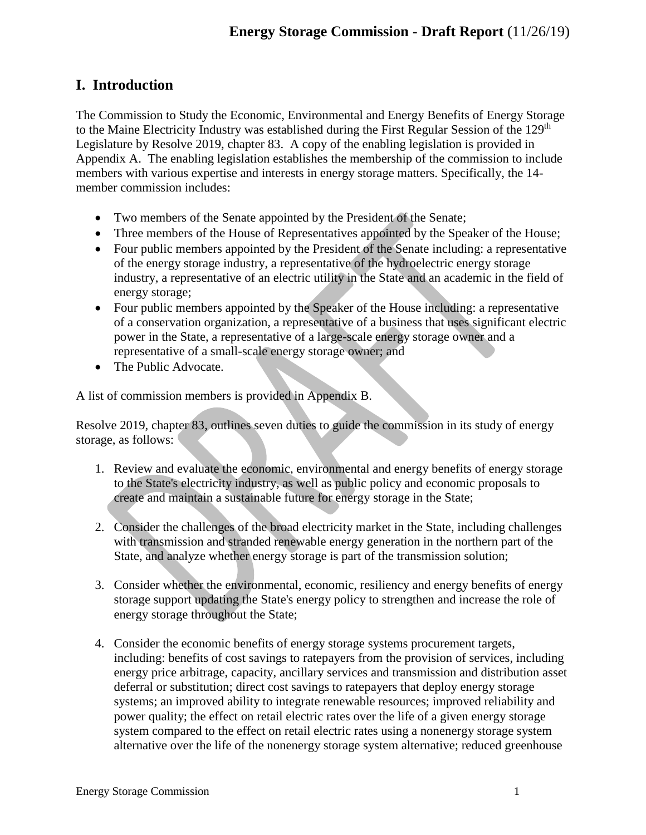# **I. Introduction**

The Commission to Study the Economic, Environmental and Energy Benefits of Energy Storage to the Maine Electricity Industry was established during the First Regular Session of the 129<sup>th</sup> Legislature by Resolve 2019, chapter 83. A copy of the enabling legislation is provided in Appendix A. The enabling legislation establishes the membership of the commission to include members with various expertise and interests in energy storage matters. Specifically, the 14 member commission includes:

- Two members of the Senate appointed by the President of the Senate;
- Three members of the House of Representatives appointed by the Speaker of the House;
- Four public members appointed by the President of the Senate including: a representative of the energy storage industry, a representative of the hydroelectric energy storage industry, a representative of an electric utility in the State and an academic in the field of energy storage;
- Four public members appointed by the Speaker of the House including: a representative of a conservation organization, a representative of a business that uses significant electric power in the State, a representative of a large-scale energy storage owner and a representative of a small-scale energy storage owner; and
- The Public Advocate.

A list of commission members is provided in Appendix B.

Resolve 2019, chapter 83, outlines seven duties to guide the commission in its study of energy storage, as follows:

- 1. Review and evaluate the economic, environmental and energy benefits of energy storage to the State's electricity industry, as well as public policy and economic proposals to create and maintain a sustainable future for energy storage in the State;
- 2. Consider the challenges of the broad electricity market in the State, including challenges with transmission and stranded renewable energy generation in the northern part of the State, and analyze whether energy storage is part of the transmission solution;
- 3. Consider whether the environmental, economic, resiliency and energy benefits of energy storage support updating the State's energy policy to strengthen and increase the role of energy storage throughout the State;
- 4. Consider the economic benefits of energy storage systems procurement targets, including: benefits of cost savings to ratepayers from the provision of services, including energy price arbitrage, capacity, ancillary services and transmission and distribution asset deferral or substitution; direct cost savings to ratepayers that deploy energy storage systems; an improved ability to integrate renewable resources; improved reliability and power quality; the effect on retail electric rates over the life of a given energy storage system compared to the effect on retail electric rates using a nonenergy storage system alternative over the life of the nonenergy storage system alternative; reduced greenhouse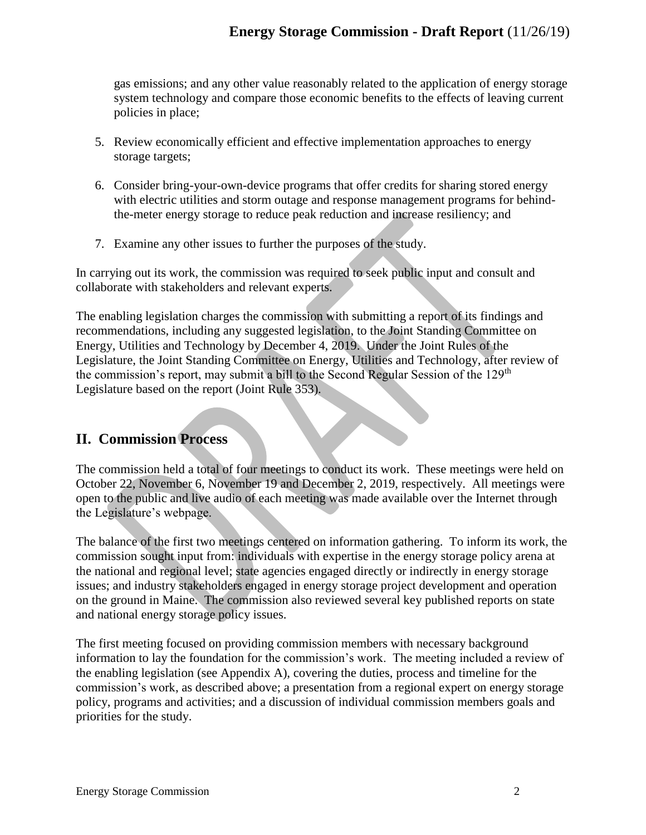gas emissions; and any other value reasonably related to the application of energy storage system technology and compare those economic benefits to the effects of leaving current policies in place;

- 5. Review economically efficient and effective implementation approaches to energy storage targets;
- 6. Consider bring-your-own-device programs that offer credits for sharing stored energy with electric utilities and storm outage and response management programs for behindthe-meter energy storage to reduce peak reduction and increase resiliency; and
- 7. Examine any other issues to further the purposes of the study.

In carrying out its work, the commission was required to seek public input and consult and collaborate with stakeholders and relevant experts.

The enabling legislation charges the commission with submitting a report of its findings and recommendations, including any suggested legislation, to the Joint Standing Committee on Energy, Utilities and Technology by December 4, 2019. Under the Joint Rules of the Legislature, the Joint Standing Committee on Energy, Utilities and Technology, after review of the commission's report, may submit a bill to the Second Regular Session of the 129<sup>th</sup> Legislature based on the report (Joint Rule 353).

# **II. Commission Process**

The commission held a total of four meetings to conduct its work. These meetings were held on October 22, November 6, November 19 and December 2, 2019, respectively. All meetings were open to the public and live audio of each meeting was made available over the Internet through the Legislature's webpage.

The balance of the first two meetings centered on information gathering. To inform its work, the commission sought input from: individuals with expertise in the energy storage policy arena at the national and regional level; state agencies engaged directly or indirectly in energy storage issues; and industry stakeholders engaged in energy storage project development and operation on the ground in Maine. The commission also reviewed several key published reports on state and national energy storage policy issues.

The first meeting focused on providing commission members with necessary background information to lay the foundation for the commission's work. The meeting included a review of the enabling legislation (see Appendix A), covering the duties, process and timeline for the commission's work, as described above; a presentation from a regional expert on energy storage policy, programs and activities; and a discussion of individual commission members goals and priorities for the study.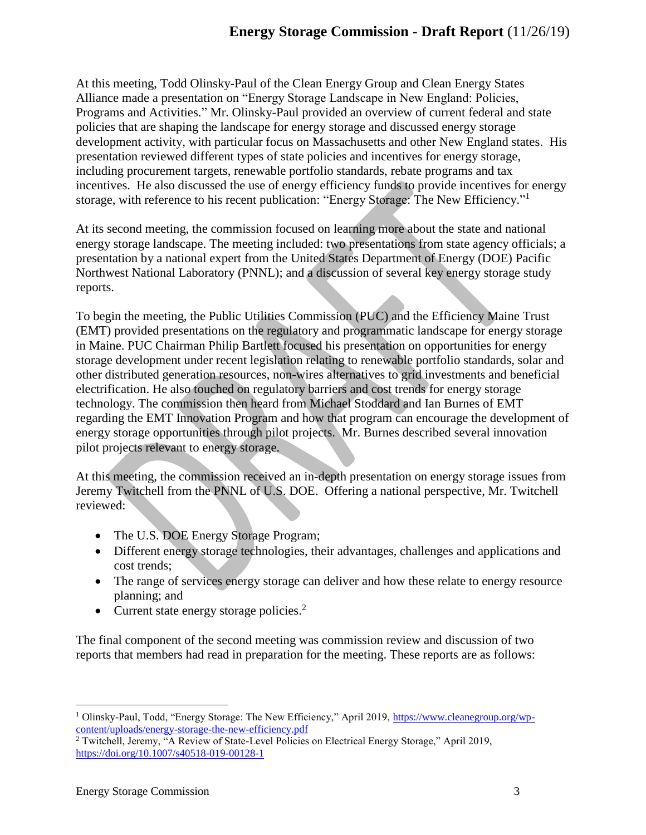At this meeting, Todd Olinsky-Paul of the Clean Energy Group and Clean Energy States Alliance made a presentation on "Energy Storage Landscape in New England: Policies, Programs and Activities." Mr. Olinsky-Paul provided an overview of current federal and state policies that are shaping the landscape for energy storage and discussed energy storage development activity, with particular focus on Massachusetts and other New England states. His presentation reviewed different types of state policies and incentives for energy storage, including procurement targets, renewable portfolio standards, rebate programs and tax incentives. He also discussed the use of energy efficiency funds to provide incentives for energy storage, with reference to his recent publication: "Energy Storage: The New Efficiency."<sup>1</sup>

At its second meeting, the commission focused on learning more about the state and national energy storage landscape. The meeting included: two presentations from state agency officials; a presentation by a national expert from the United States Department of Energy (DOE) Pacific Northwest National Laboratory (PNNL); and a discussion of several key energy storage study reports.

To begin the meeting, the Public Utilities Commission (PUC) and the Efficiency Maine Trust (EMT) provided presentations on the regulatory and programmatic landscape for energy storage in Maine. PUC Chairman Philip Bartlett focused his presentation on opportunities for energy storage development under recent legislation relating to renewable portfolio standards, solar and other distributed generation resources, non-wires alternatives to grid investments and beneficial electrification. He also touched on regulatory barriers and cost trends for energy storage technology. The commission then heard from Michael Stoddard and Ian Burnes of EMT regarding the EMT Innovation Program and how that program can encourage the development of energy storage opportunities through pilot projects. Mr. Burnes described several innovation pilot projects relevant to energy storage.

At this meeting, the commission received an in-depth presentation on energy storage issues from Jeremy Twitchell from the PNNL of U.S. DOE. Offering a national perspective, Mr. Twitchell reviewed:

- The U.S. DOE Energy Storage Program;
- Different energy storage technologies, their advantages, challenges and applications and cost trends;
- The range of services energy storage can deliver and how these relate to energy resource planning; and
- Current state energy storage policies. $<sup>2</sup>$ </sup>

The final component of the second meeting was commission review and discussion of two reports that members had read in preparation for the meeting. These reports are as follows:

<sup>1</sup> Olinsky-Paul, Todd, "Energy Storage: The New Efficiency," April 2019, [https://www.cleanegroup.org/wp](https://www.cleanegroup.org/wp-content/uploads/energy-storage-the-new-efficiency.pdf)[content/uploads/energy-storage-the-new-efficiency.pdf](https://www.cleanegroup.org/wp-content/uploads/energy-storage-the-new-efficiency.pdf)

<sup>&</sup>lt;sup>2</sup> Twitchell, Jeremy, "A Review of State-Level Policies on Electrical Energy Storage," April 2019, <https://doi.org/10.1007/s40518-019-00128-1>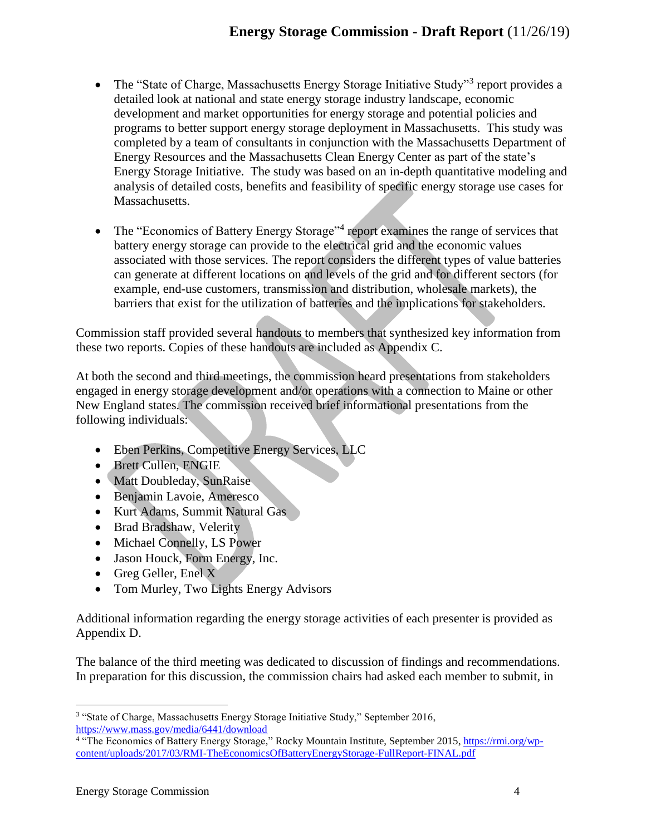# **Energy Storage Commission - Draft Report** (11/26/19)

- The "State of Charge, Massachusetts Energy Storage Initiative Study"<sup>3</sup> report provides a detailed look at national and state energy storage industry landscape, economic development and market opportunities for energy storage and potential policies and programs to better support energy storage deployment in Massachusetts. This study was completed by a team of consultants in conjunction with the Massachusetts Department of Energy Resources and the Massachusetts Clean Energy Center as part of the state's Energy Storage Initiative. The study was based on an in-depth quantitative modeling and analysis of detailed costs, benefits and feasibility of specific energy storage use cases for Massachusetts.
- The "Economics of Battery Energy Storage"<sup>4</sup> report examines the range of services that battery energy storage can provide to the electrical grid and the economic values associated with those services. The report considers the different types of value batteries can generate at different locations on and levels of the grid and for different sectors (for example, end-use customers, transmission and distribution, wholesale markets), the barriers that exist for the utilization of batteries and the implications for stakeholders.

Commission staff provided several handouts to members that synthesized key information from these two reports. Copies of these handouts are included as Appendix C.

At both the second and third meetings, the commission heard presentations from stakeholders engaged in energy storage development and/or operations with a connection to Maine or other New England states. The commission received brief informational presentations from the following individuals:

- Eben Perkins, Competitive Energy Services, LLC
- Brett Cullen, ENGIE
- Matt Doubleday, SunRaise
- Benjamin Lavoie, Ameresco
- Kurt Adams, Summit Natural Gas
- Brad Bradshaw, Velerity
- Michael Connelly, LS Power
- Jason Houck, Form Energy, Inc.
- Greg Geller, Enel X
- Tom Murley, Two Lights Energy Advisors

Additional information regarding the energy storage activities of each presenter is provided as Appendix D.

The balance of the third meeting was dedicated to discussion of findings and recommendations. In preparation for this discussion, the commission chairs had asked each member to submit, in

<sup>&</sup>lt;sup>3</sup> "State of Charge, Massachusetts Energy Storage Initiative Study," September 2016,

<https://www.mass.gov/media/6441/download><br><sup>4</sup> "The Economics of Battery Energy Storage," Rocky Mountain Institute, September 2015, <u>https://rmi.org/wp</u>[content/uploads/2017/03/RMI-TheEconomicsOfBatteryEnergyStorage-FullReport-FINAL.pdf](https://rmi.org/wp-content/uploads/2017/03/RMI-TheEconomicsOfBatteryEnergyStorage-FullReport-FINAL.pdf)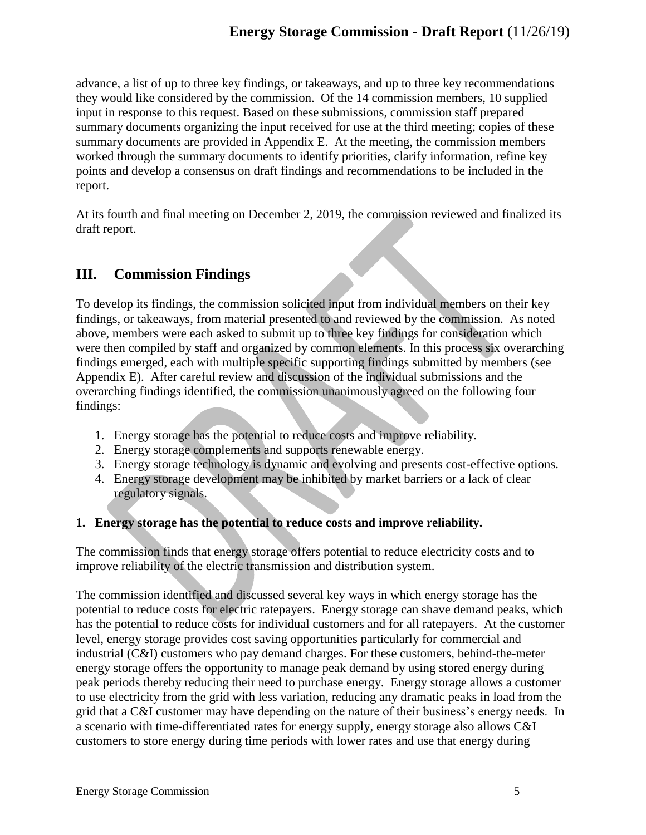advance, a list of up to three key findings, or takeaways, and up to three key recommendations they would like considered by the commission. Of the 14 commission members, 10 supplied input in response to this request. Based on these submissions, commission staff prepared summary documents organizing the input received for use at the third meeting; copies of these summary documents are provided in Appendix E. At the meeting, the commission members worked through the summary documents to identify priorities, clarify information, refine key points and develop a consensus on draft findings and recommendations to be included in the report.

At its fourth and final meeting on December 2, 2019, the commission reviewed and finalized its draft report.

# **III. Commission Findings**

To develop its findings, the commission solicited input from individual members on their key findings, or takeaways, from material presented to and reviewed by the commission. As noted above, members were each asked to submit up to three key findings for consideration which were then compiled by staff and organized by common elements. In this process six overarching findings emerged, each with multiple specific supporting findings submitted by members (see Appendix E). After careful review and discussion of the individual submissions and the overarching findings identified, the commission unanimously agreed on the following four findings:

- 1. Energy storage has the potential to reduce costs and improve reliability.
- 2. Energy storage complements and supports renewable energy.
- 3. Energy storage technology is dynamic and evolving and presents cost-effective options.
- 4. Energy storage development may be inhibited by market barriers or a lack of clear regulatory signals.

### **1. Energy storage has the potential to reduce costs and improve reliability.**

The commission finds that energy storage offers potential to reduce electricity costs and to improve reliability of the electric transmission and distribution system.

The commission identified and discussed several key ways in which energy storage has the potential to reduce costs for electric ratepayers. Energy storage can shave demand peaks, which has the potential to reduce costs for individual customers and for all ratepayers. At the customer level, energy storage provides cost saving opportunities particularly for commercial and industrial (C&I) customers who pay demand charges. For these customers, behind-the-meter energy storage offers the opportunity to manage peak demand by using stored energy during peak periods thereby reducing their need to purchase energy. Energy storage allows a customer to use electricity from the grid with less variation, reducing any dramatic peaks in load from the grid that a C&I customer may have depending on the nature of their business's energy needs. In a scenario with time-differentiated rates for energy supply, energy storage also allows C&I customers to store energy during time periods with lower rates and use that energy during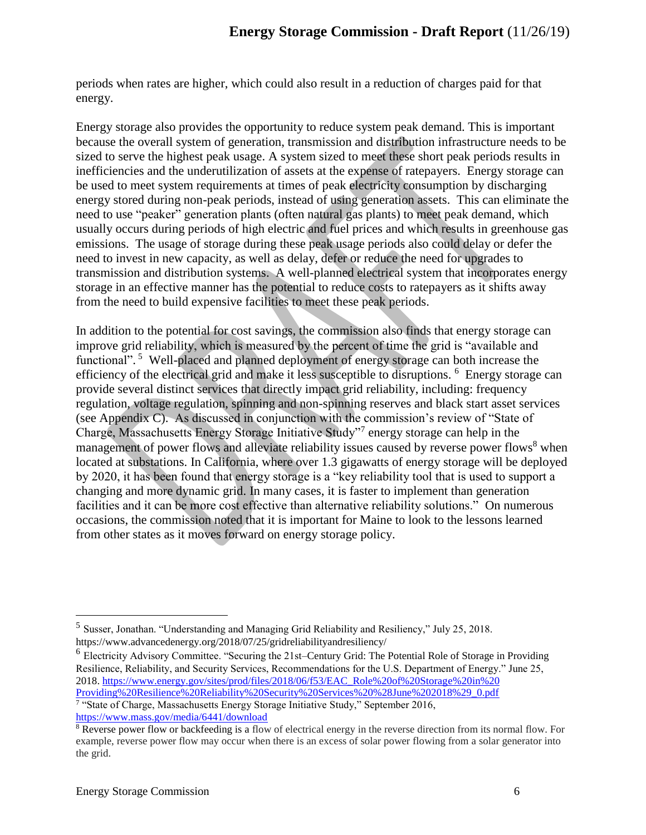periods when rates are higher, which could also result in a reduction of charges paid for that energy.

Energy storage also provides the opportunity to reduce system peak demand. This is important because the overall system of generation, transmission and distribution infrastructure needs to be sized to serve the highest peak usage. A system sized to meet these short peak periods results in inefficiencies and the underutilization of assets at the expense of ratepayers. Energy storage can be used to meet system requirements at times of peak electricity consumption by discharging energy stored during non-peak periods, instead of using generation assets. This can eliminate the need to use "peaker" generation plants (often natural gas plants) to meet peak demand, which usually occurs during periods of high electric and fuel prices and which results in greenhouse gas emissions. The usage of storage during these peak usage periods also could delay or defer the need to invest in new capacity, as well as delay, defer or reduce the need for upgrades to transmission and distribution systems. A well-planned electrical system that incorporates energy storage in an effective manner has the potential to reduce costs to ratepayers as it shifts away from the need to build expensive facilities to meet these peak periods.

In addition to the potential for cost savings, the commission also finds that energy storage can improve grid reliability, which is measured by the percent of time the grid is "available and functional".<sup>5</sup> Well-placed and planned deployment of energy storage can both increase the efficiency of the electrical grid and make it less susceptible to disruptions. <sup>6</sup> Energy storage can provide several distinct services that directly impact grid reliability, including: frequency regulation, voltage regulation, spinning and non-spinning reserves and black start asset services (see Appendix C). As discussed in conjunction with the commission's review of "State of Charge, Massachusetts Energy Storage Initiative Study"<sup>7</sup> energy storage can help in the management of power flows and alleviate reliability issues caused by reverse power flows<sup>8</sup> when located at substations. In California, where over 1.3 gigawatts of energy storage will be deployed by 2020, it has been found that energy storage is a "key reliability tool that is used to support a changing and more dynamic grid. In many cases, it is faster to implement than generation facilities and it can be more cost effective than alternative reliability solutions." On numerous occasions, the commission noted that it is important for Maine to look to the lessons learned from other states as it moves forward on energy storage policy.

<https://www.mass.gov/media/6441/download>

<sup>&</sup>lt;sup>5</sup> Susser, Jonathan. "Understanding and Managing Grid Reliability and Resiliency," July 25, 2018. https://www.advancedenergy.org/2018/07/25/gridreliabilityandresiliency/

<sup>&</sup>lt;sup>6</sup> Electricity Advisory Committee. "Securing the 21st–Century Grid: The Potential Role of Storage in Providing Resilience, Reliability, and Security Services, Recommendations for the U.S. Department of Energy." June 25, 2018. [https://www.energy.gov/sites/prod/files/2018/06/f53/EAC\\_Role%20of%20Storage%20in%20](https://www.energy.gov/sites/prod/files/2018/06/f53/EAC_Role%20of%20Storage%20in%20Providing%20Resilience%20Reliability%20Security%20Services%20%28June%202018%29_0.pdf) [Providing%20Resilience%20Reliability%20Security%20Services%20%28June%202018%29\\_0.pdf](https://www.energy.gov/sites/prod/files/2018/06/f53/EAC_Role%20of%20Storage%20in%20Providing%20Resilience%20Reliability%20Security%20Services%20%28June%202018%29_0.pdf) <sup>7</sup> "State of Charge, Massachusetts Energy Storage Initiative Study," September 2016,

<sup>&</sup>lt;sup>8</sup> Reverse power flow or backfeeding is a flow of electrical energy in the reverse direction from its normal flow. For example, reverse power flow may occur when there is an excess of solar power flowing from a solar generator into the grid.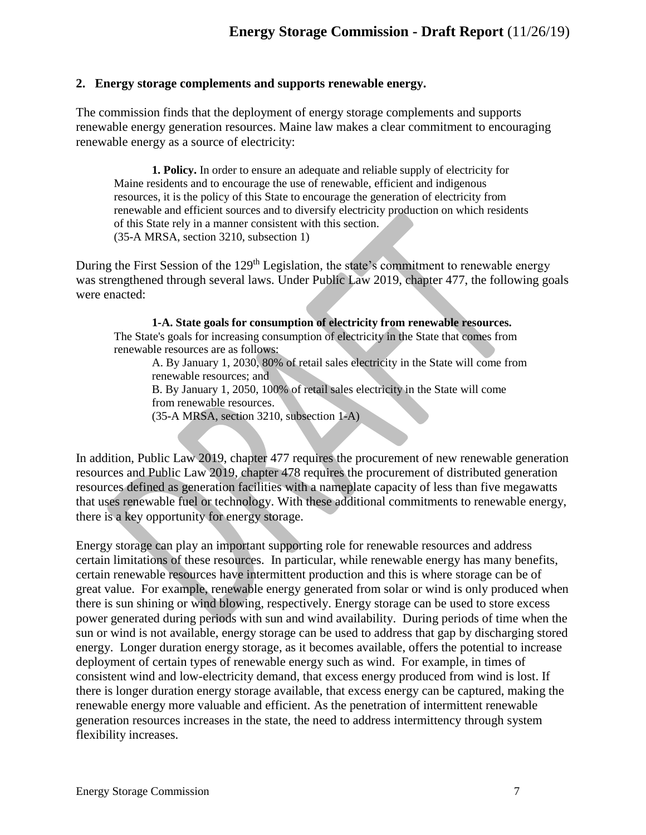#### **2. Energy storage complements and supports renewable energy.**

The commission finds that the deployment of energy storage complements and supports renewable energy generation resources. Maine law makes a clear commitment to encouraging renewable energy as a source of electricity:

**1. Policy.** In order to ensure an adequate and reliable supply of electricity for Maine residents and to encourage the use of renewable, efficient and indigenous resources, it is the policy of this State to encourage the generation of electricity from renewable and efficient sources and to diversify electricity production on which residents of this State rely in a manner consistent with this section. (35-A MRSA, section 3210, subsection 1)

During the First Session of the  $129<sup>th</sup>$  Legislation, the state's commitment to renewable energy was strengthened through several laws. Under Public Law 2019, chapter 477, the following goals were enacted:

**1-A. State goals for consumption of electricity from renewable resources.** The State's goals for increasing consumption of electricity in the State that comes from renewable resources are as follows:

A. By January 1, 2030, 80% of retail sales electricity in the State will come from renewable resources; and

B. By January 1, 2050, 100% of retail sales electricity in the State will come from renewable resources.

(35-A MRSA, section 3210, subsection 1-A)

In addition, Public Law 2019, chapter 477 requires the procurement of new renewable generation resources and Public Law 2019, chapter 478 requires the procurement of distributed generation resources defined as generation facilities with a nameplate capacity of less than five megawatts that uses renewable fuel or technology. With these additional commitments to renewable energy, there is a key opportunity for energy storage.

Energy storage can play an important supporting role for renewable resources and address certain limitations of these resources. In particular, while renewable energy has many benefits, certain renewable resources have intermittent production and this is where storage can be of great value. For example, renewable energy generated from solar or wind is only produced when there is sun shining or wind blowing, respectively. Energy storage can be used to store excess power generated during periods with sun and wind availability. During periods of time when the sun or wind is not available, energy storage can be used to address that gap by discharging stored energy. Longer duration energy storage, as it becomes available, offers the potential to increase deployment of certain types of renewable energy such as wind. For example, in times of consistent wind and low-electricity demand, that excess energy produced from wind is lost. If there is longer duration energy storage available, that excess energy can be captured, making the renewable energy more valuable and efficient. As the penetration of intermittent renewable generation resources increases in the state, the need to address intermittency through system flexibility increases.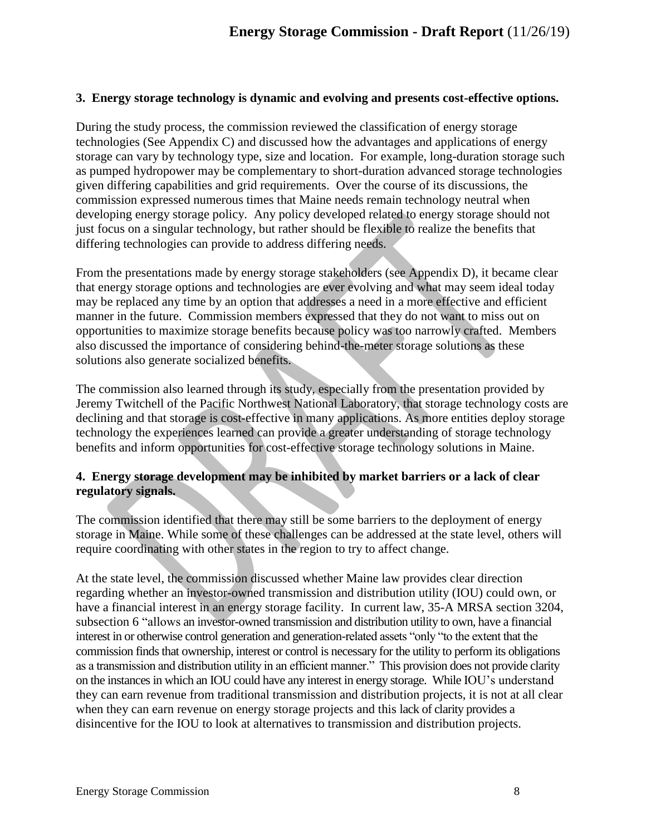#### **3. Energy storage technology is dynamic and evolving and presents cost-effective options.**

During the study process, the commission reviewed the classification of energy storage technologies (See Appendix C) and discussed how the advantages and applications of energy storage can vary by technology type, size and location. For example, long-duration storage such as pumped hydropower may be complementary to short-duration advanced storage technologies given differing capabilities and grid requirements. Over the course of its discussions, the commission expressed numerous times that Maine needs remain technology neutral when developing energy storage policy. Any policy developed related to energy storage should not just focus on a singular technology, but rather should be flexible to realize the benefits that differing technologies can provide to address differing needs.

From the presentations made by energy storage stakeholders (see Appendix D), it became clear that energy storage options and technologies are ever evolving and what may seem ideal today may be replaced any time by an option that addresses a need in a more effective and efficient manner in the future. Commission members expressed that they do not want to miss out on opportunities to maximize storage benefits because policy was too narrowly crafted. Members also discussed the importance of considering behind-the-meter storage solutions as these solutions also generate socialized benefits.

The commission also learned through its study, especially from the presentation provided by Jeremy Twitchell of the Pacific Northwest National Laboratory, that storage technology costs are declining and that storage is cost-effective in many applications. As more entities deploy storage technology the experiences learned can provide a greater understanding of storage technology benefits and inform opportunities for cost-effective storage technology solutions in Maine.

### **4. Energy storage development may be inhibited by market barriers or a lack of clear regulatory signals.**

The commission identified that there may still be some barriers to the deployment of energy storage in Maine. While some of these challenges can be addressed at the state level, others will require coordinating with other states in the region to try to affect change.

At the state level, the commission discussed whether Maine law provides clear direction regarding whether an investor-owned transmission and distribution utility (IOU) could own, or have a financial interest in an energy storage facility. In current law, 35-A MRSA section 3204, subsection 6 "allows an investor-owned transmission and distribution utility to own, have a financial interest in or otherwise control generation and generation-related assets "only "to the extent that the commission finds that ownership, interest or control is necessary for the utility to perform its obligations as a transmission and distribution utility in an efficient manner." This provision does not provide clarity on the instances in which an IOU could have any interest in energy storage. While IOU's understand they can earn revenue from traditional transmission and distribution projects, it is not at all clear when they can earn revenue on energy storage projects and this lack of clarity provides a disincentive for the IOU to look at alternatives to transmission and distribution projects.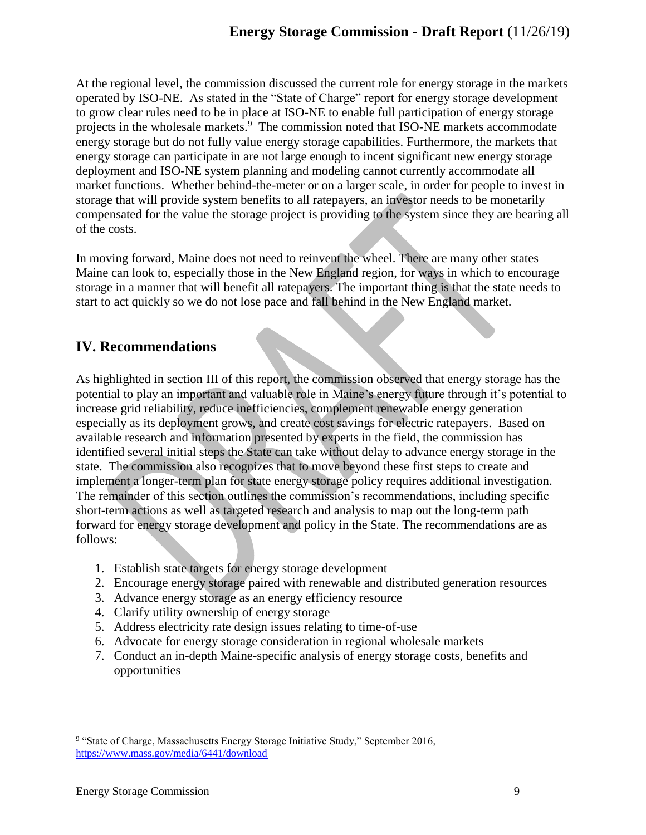At the regional level, the commission discussed the current role for energy storage in the markets operated by ISO-NE. As stated in the "State of Charge" report for energy storage development to grow clear rules need to be in place at ISO-NE to enable full participation of energy storage projects in the wholesale markets.<sup>9</sup> The commission noted that ISO-NE markets accommodate energy storage but do not fully value energy storage capabilities. Furthermore, the markets that energy storage can participate in are not large enough to incent significant new energy storage deployment and ISO-NE system planning and modeling cannot currently accommodate all market functions. Whether behind-the-meter or on a larger scale, in order for people to invest in storage that will provide system benefits to all ratepayers, an investor needs to be monetarily compensated for the value the storage project is providing to the system since they are bearing all of the costs.

In moving forward, Maine does not need to reinvent the wheel. There are many other states Maine can look to, especially those in the New England region, for ways in which to encourage storage in a manner that will benefit all ratepayers. The important thing is that the state needs to start to act quickly so we do not lose pace and fall behind in the New England market.

# **IV. Recommendations**

As highlighted in section III of this report, the commission observed that energy storage has the potential to play an important and valuable role in Maine's energy future through it's potential to increase grid reliability, reduce inefficiencies, complement renewable energy generation especially as its deployment grows, and create cost savings for electric ratepayers. Based on available research and information presented by experts in the field, the commission has identified several initial steps the State can take without delay to advance energy storage in the state. The commission also recognizes that to move beyond these first steps to create and implement a longer-term plan for state energy storage policy requires additional investigation. The remainder of this section outlines the commission's recommendations, including specific short-term actions as well as targeted research and analysis to map out the long-term path forward for energy storage development and policy in the State. The recommendations are as follows:

- 1. Establish state targets for energy storage development
- 2. Encourage energy storage paired with renewable and distributed generation resources
- 3. Advance energy storage as an energy efficiency resource
- 4. Clarify utility ownership of energy storage
- 5. Address electricity rate design issues relating to time-of-use
- 6. Advocate for energy storage consideration in regional wholesale markets
- 7. Conduct an in-depth Maine-specific analysis of energy storage costs, benefits and opportunities

 $\overline{a}$ <sup>9</sup> "State of Charge, Massachusetts Energy Storage Initiative Study," September 2016, <https://www.mass.gov/media/6441/download>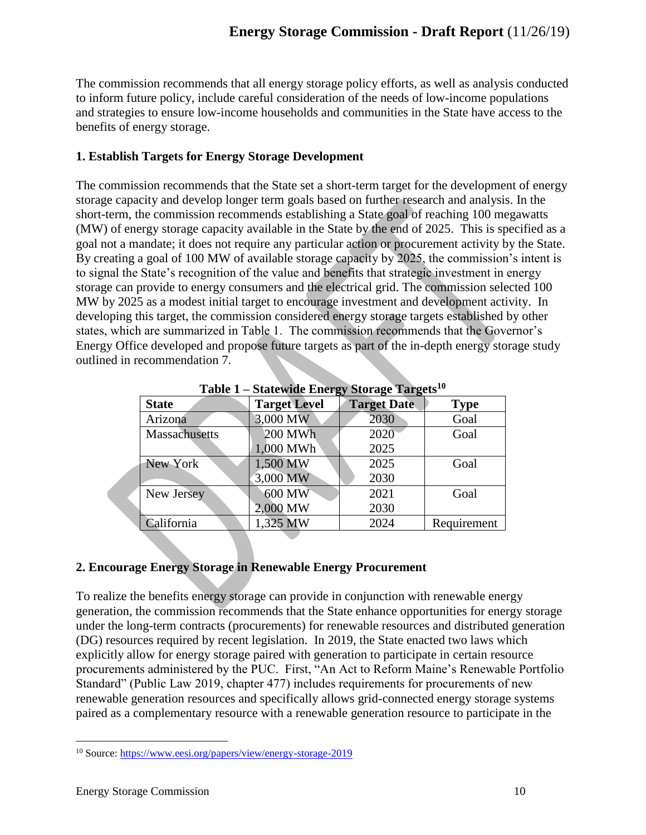The commission recommends that all energy storage policy efforts, as well as analysis conducted to inform future policy, include careful consideration of the needs of low-income populations and strategies to ensure low-income households and communities in the State have access to the benefits of energy storage.

### **1. Establish Targets for Energy Storage Development**

The commission recommends that the State set a short-term target for the development of energy storage capacity and develop longer term goals based on further research and analysis. In the short-term, the commission recommends establishing a State goal of reaching 100 megawatts (MW) of energy storage capacity available in the State by the end of 2025. This is specified as a goal not a mandate; it does not require any particular action or procurement activity by the State. By creating a goal of 100 MW of available storage capacity by 2025, the commission's intent is to signal the State's recognition of the value and benefits that strategic investment in energy storage can provide to energy consumers and the electrical grid. The commission selected 100 MW by 2025 as a modest initial target to encourage investment and development activity. In developing this target, the commission considered energy storage targets established by other states, which are summarized in Table 1. The commission recommends that the Governor's Energy Office developed and propose future targets as part of the in-depth energy storage study outlined in recommendation 7.

| 1 avit 1<br>$0$ and $n$ and $n \leq y$<br>$0.01450$ $1.41500$ |               |                     |                    |             |
|---------------------------------------------------------------|---------------|---------------------|--------------------|-------------|
|                                                               | <b>State</b>  | <b>Target Level</b> | <b>Target Date</b> | <b>Type</b> |
|                                                               | Arizona       | 3,000 MW            | 2030               | Goal        |
|                                                               | Massachusetts | 200 MWh             | 2020               | Goal        |
|                                                               |               | 1,000 MWh           | 2025               |             |
|                                                               | New York      | 1,500 MW            | 2025               | Goal        |
|                                                               |               | 3,000 MW            | 2030               |             |
|                                                               | New Jersey    | 600 MW              | 2021               | Goal        |
|                                                               |               | 2,000 MW            | 2030               |             |
|                                                               | California    | 1,325 MW            | 2024               | Requirement |

**Table 1 – Statewide Energy Storage Targets<sup>10</sup>**

## **2. Encourage Energy Storage in Renewable Energy Procurement**

To realize the benefits energy storage can provide in conjunction with renewable energy generation, the commission recommends that the State enhance opportunities for energy storage under the long-term contracts (procurements) for renewable resources and distributed generation (DG) resources required by recent legislation. In 2019, the State enacted two laws which explicitly allow for energy storage paired with generation to participate in certain resource procurements administered by the PUC. First, "An Act to Reform Maine's Renewable Portfolio Standard" (Public Law 2019, chapter 477) includes requirements for procurements of new renewable generation resources and specifically allows grid-connected energy storage systems paired as a complementary resource with a renewable generation resource to participate in the

 $\overline{a}$ <sup>10</sup> Source:<https://www.eesi.org/papers/view/energy-storage-2019>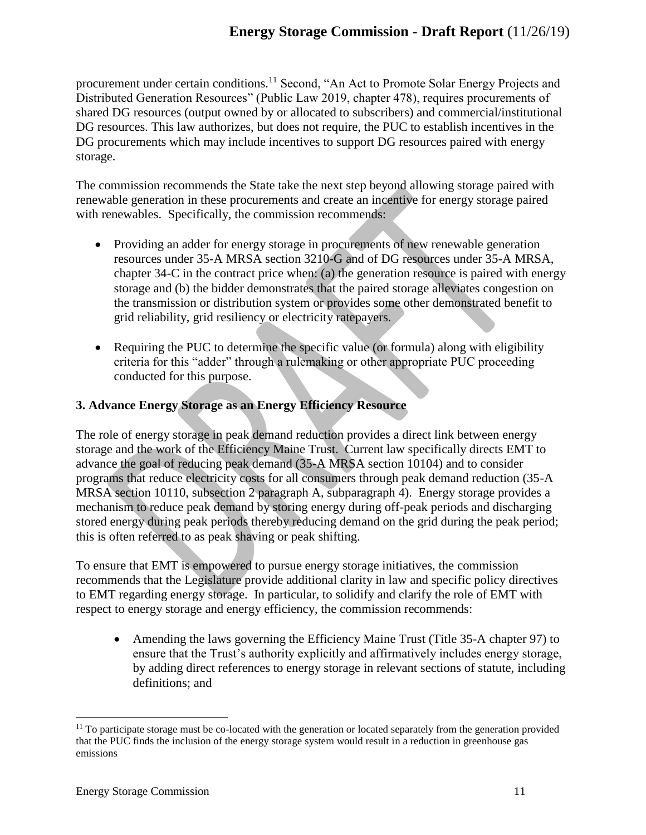procurement under certain conditions.<sup>11</sup> Second, "An Act to Promote Solar Energy Projects and Distributed Generation Resources" (Public Law 2019, chapter 478), requires procurements of shared DG resources (output owned by or allocated to subscribers) and commercial/institutional DG resources. This law authorizes, but does not require, the PUC to establish incentives in the DG procurements which may include incentives to support DG resources paired with energy storage.

The commission recommends the State take the next step beyond allowing storage paired with renewable generation in these procurements and create an incentive for energy storage paired with renewables. Specifically, the commission recommends:

- Providing an adder for energy storage in procurements of new renewable generation resources under 35-A MRSA section 3210-G and of DG resources under 35-A MRSA, chapter 34-C in the contract price when: (a) the generation resource is paired with energy storage and (b) the bidder demonstrates that the paired storage alleviates congestion on the transmission or distribution system or provides some other demonstrated benefit to grid reliability, grid resiliency or electricity ratepayers.
- Requiring the PUC to determine the specific value (or formula) along with eligibility criteria for this "adder" through a rulemaking or other appropriate PUC proceeding conducted for this purpose.

# **3. Advance Energy Storage as an Energy Efficiency Resource**

The role of energy storage in peak demand reduction provides a direct link between energy storage and the work of the Efficiency Maine Trust. Current law specifically directs EMT to advance the goal of reducing peak demand (35-A MRSA section 10104) and to consider programs that reduce electricity costs for all consumers through peak demand reduction (35-A MRSA section 10110, subsection 2 paragraph A, subparagraph 4). Energy storage provides a mechanism to reduce peak demand by storing energy during off-peak periods and discharging stored energy during peak periods thereby reducing demand on the grid during the peak period; this is often referred to as peak shaving or peak shifting.

To ensure that EMT is empowered to pursue energy storage initiatives, the commission recommends that the Legislature provide additional clarity in law and specific policy directives to EMT regarding energy storage. In particular, to solidify and clarify the role of EMT with respect to energy storage and energy efficiency, the commission recommends:

• Amending the laws governing the Efficiency Maine Trust (Title 35-A chapter 97) to ensure that the Trust's authority explicitly and affirmatively includes energy storage, by adding direct references to energy storage in relevant sections of statute, including definitions; and

 $11$  To participate storage must be co-located with the generation or located separately from the generation provided that the PUC finds the inclusion of the energy storage system would result in a reduction in greenhouse gas emissions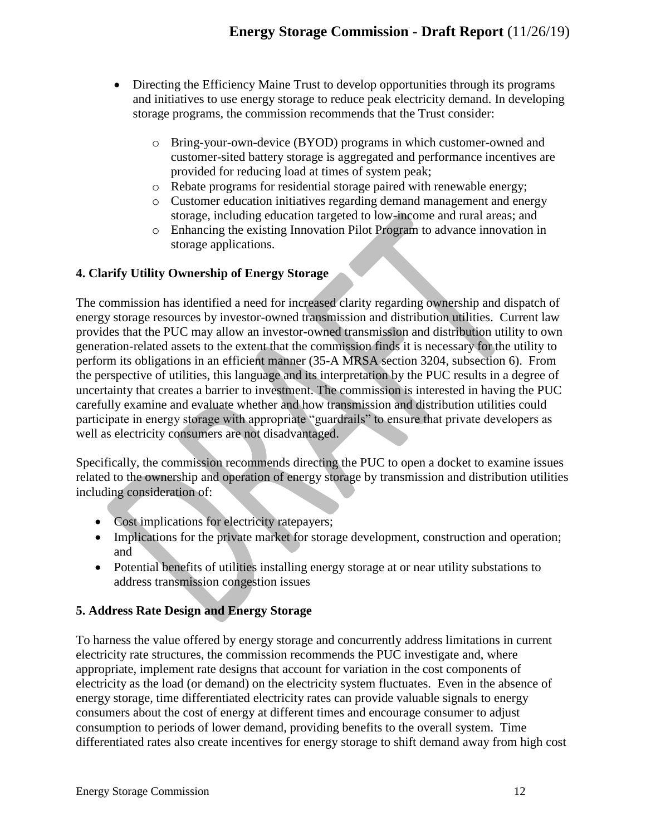- Directing the Efficiency Maine Trust to develop opportunities through its programs and initiatives to use energy storage to reduce peak electricity demand. In developing storage programs, the commission recommends that the Trust consider:
	- o Bring-your-own-device (BYOD) programs in which customer-owned and customer-sited battery storage is aggregated and performance incentives are provided for reducing load at times of system peak;
	- o Rebate programs for residential storage paired with renewable energy;
	- o Customer education initiatives regarding demand management and energy storage, including education targeted to low-income and rural areas; and
	- o Enhancing the existing Innovation Pilot Program to advance innovation in storage applications.

### **4. Clarify Utility Ownership of Energy Storage**

The commission has identified a need for increased clarity regarding ownership and dispatch of energy storage resources by investor-owned transmission and distribution utilities. Current law provides that the PUC may allow an investor-owned transmission and distribution utility to own generation-related assets to the extent that the commission finds it is necessary for the utility to perform its obligations in an efficient manner (35-A MRSA section 3204, subsection 6). From the perspective of utilities, this language and its interpretation by the PUC results in a degree of uncertainty that creates a barrier to investment. The commission is interested in having the PUC carefully examine and evaluate whether and how transmission and distribution utilities could participate in energy storage with appropriate "guardrails" to ensure that private developers as well as electricity consumers are not disadvantaged.

Specifically, the commission recommends directing the PUC to open a docket to examine issues related to the ownership and operation of energy storage by transmission and distribution utilities including consideration of:

- Cost implications for electricity ratepayers;
- Implications for the private market for storage development, construction and operation; and
- Potential benefits of utilities installing energy storage at or near utility substations to address transmission congestion issues

### **5. Address Rate Design and Energy Storage**

To harness the value offered by energy storage and concurrently address limitations in current electricity rate structures, the commission recommends the PUC investigate and, where appropriate, implement rate designs that account for variation in the cost components of electricity as the load (or demand) on the electricity system fluctuates. Even in the absence of energy storage, time differentiated electricity rates can provide valuable signals to energy consumers about the cost of energy at different times and encourage consumer to adjust consumption to periods of lower demand, providing benefits to the overall system. Time differentiated rates also create incentives for energy storage to shift demand away from high cost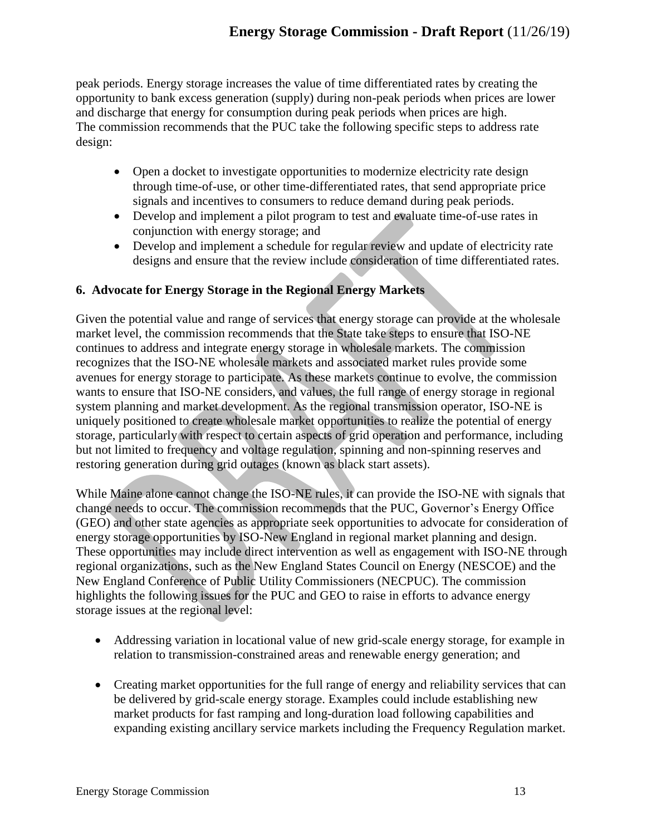peak periods. Energy storage increases the value of time differentiated rates by creating the opportunity to bank excess generation (supply) during non-peak periods when prices are lower and discharge that energy for consumption during peak periods when prices are high. The commission recommends that the PUC take the following specific steps to address rate design:

- Open a docket to investigate opportunities to modernize electricity rate design through time-of-use, or other time-differentiated rates, that send appropriate price signals and incentives to consumers to reduce demand during peak periods.
- Develop and implement a pilot program to test and evaluate time-of-use rates in conjunction with energy storage; and
- Develop and implement a schedule for regular review and update of electricity rate designs and ensure that the review include consideration of time differentiated rates.

# **6. Advocate for Energy Storage in the Regional Energy Markets**

Given the potential value and range of services that energy storage can provide at the wholesale market level, the commission recommends that the State take steps to ensure that ISO-NE continues to address and integrate energy storage in wholesale markets. The commission recognizes that the ISO-NE wholesale markets and associated market rules provide some avenues for energy storage to participate. As these markets continue to evolve, the commission wants to ensure that ISO-NE considers, and values, the full range of energy storage in regional system planning and market development. As the regional transmission operator, ISO-NE is uniquely positioned to create wholesale market opportunities to realize the potential of energy storage, particularly with respect to certain aspects of grid operation and performance, including but not limited to frequency and voltage regulation, spinning and non-spinning reserves and restoring generation during grid outages (known as black start assets).

While Maine alone cannot change the ISO-NE rules, it can provide the ISO-NE with signals that change needs to occur. The commission recommends that the PUC, Governor's Energy Office (GEO) and other state agencies as appropriate seek opportunities to advocate for consideration of energy storage opportunities by ISO-New England in regional market planning and design. These opportunities may include direct intervention as well as engagement with ISO-NE through regional organizations, such as the New England States Council on Energy (NESCOE) and the New England Conference of Public Utility Commissioners (NECPUC). The commission highlights the following issues for the PUC and GEO to raise in efforts to advance energy storage issues at the regional level:

- Addressing variation in locational value of new grid-scale energy storage, for example in relation to transmission-constrained areas and renewable energy generation; and
- Creating market opportunities for the full range of energy and reliability services that can be delivered by grid-scale energy storage. Examples could include establishing new market products for fast ramping and long-duration load following capabilities and expanding existing ancillary service markets including the Frequency Regulation market.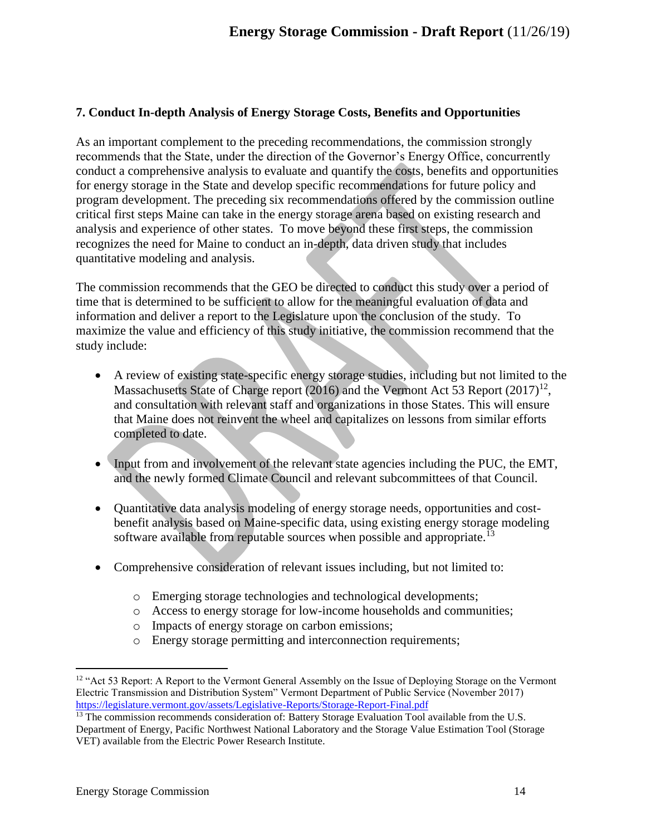### **7. Conduct In-depth Analysis of Energy Storage Costs, Benefits and Opportunities**

As an important complement to the preceding recommendations, the commission strongly recommends that the State, under the direction of the Governor's Energy Office, concurrently conduct a comprehensive analysis to evaluate and quantify the costs, benefits and opportunities for energy storage in the State and develop specific recommendations for future policy and program development. The preceding six recommendations offered by the commission outline critical first steps Maine can take in the energy storage arena based on existing research and analysis and experience of other states. To move beyond these first steps, the commission recognizes the need for Maine to conduct an in-depth, data driven study that includes quantitative modeling and analysis.

The commission recommends that the GEO be directed to conduct this study over a period of time that is determined to be sufficient to allow for the meaningful evaluation of data and information and deliver a report to the Legislature upon the conclusion of the study. To maximize the value and efficiency of this study initiative, the commission recommend that the study include:

- A review of existing state-specific energy storage studies, including but not limited to the Massachusetts State of Charge report (2016) and the Vermont Act 53 Report  $(2017)^{12}$ , and consultation with relevant staff and organizations in those States. This will ensure that Maine does not reinvent the wheel and capitalizes on lessons from similar efforts completed to date.
- Input from and involvement of the relevant state agencies including the PUC, the EMT, and the newly formed Climate Council and relevant subcommittees of that Council.
- Quantitative data analysis modeling of energy storage needs, opportunities and costbenefit analysis based on Maine-specific data, using existing energy storage modeling software available from reputable sources when possible and appropriate.<sup>13</sup>
- Comprehensive consideration of relevant issues including, but not limited to:
	- o Emerging storage technologies and technological developments;
	- o Access to energy storage for low-income households and communities;
	- o Impacts of energy storage on carbon emissions;
	- o Energy storage permitting and interconnection requirements;

 $\overline{a}$ <sup>12</sup> "Act 53 Report: A Report to the Vermont General Assembly on the Issue of Deploying Storage on the Vermont Electric Transmission and Distribution System" Vermont Department of Public Service (November 2017) <https://legislature.vermont.gov/assets/Legislative-Reports/Storage-Report-Final.pdf>

<sup>&</sup>lt;sup>13</sup> The commission recommends consideration of: Battery Storage Evaluation Tool available from the U.S. Department of Energy, Pacific Northwest National Laboratory and the Storage Value Estimation Tool (Storage VET) available from the Electric Power Research Institute.